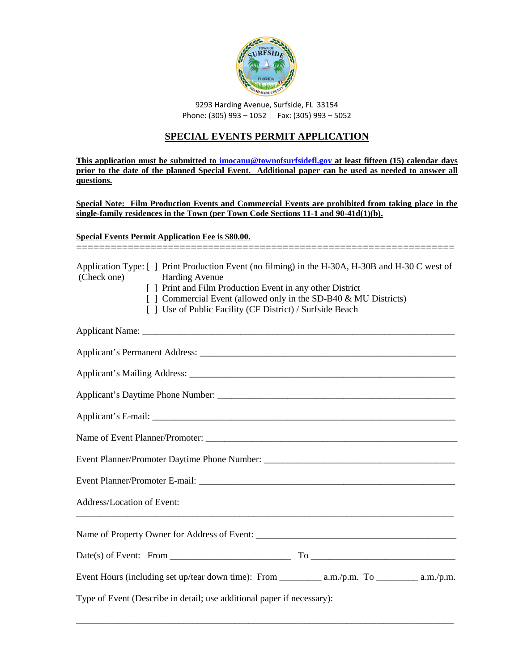

9293 Harding Avenue, Surfside, FL 33154 Phone: (305) 993 – 1052 | Fax: (305) 993 – 5052

### **SPECIAL EVENTS PERMIT APPLICATION**

**This application must be submitted to [imocanu@townofsurfsidefl.gov](mailto:imocanu@townofsurfsidefl.gov) at least fifteen (15) calendar days prior to the date of the planned Special Event. Additional paper can be used as needed to answer all questions.**

**Special Note: Film Production Events and Commercial Events are prohibited from taking place in the single-family residences in the Town (per Town Code Sections 11-1 and 90-41d(1)(b).**

#### **Special Events Permit Application Fee is \$80.00.**

| (Check one)                | Application Type: [] Print Production Event (no filming) in the H-30A, H-30B and H-30 C west of<br><b>Harding Avenue</b><br>[ ] Print and Film Production Event in any other District<br>[] Commercial Event (allowed only in the SD-B40 & MU Districts)<br>[] Use of Public Facility (CF District) / Surfside Beach |
|----------------------------|----------------------------------------------------------------------------------------------------------------------------------------------------------------------------------------------------------------------------------------------------------------------------------------------------------------------|
|                            |                                                                                                                                                                                                                                                                                                                      |
|                            |                                                                                                                                                                                                                                                                                                                      |
|                            |                                                                                                                                                                                                                                                                                                                      |
|                            |                                                                                                                                                                                                                                                                                                                      |
|                            |                                                                                                                                                                                                                                                                                                                      |
|                            |                                                                                                                                                                                                                                                                                                                      |
|                            |                                                                                                                                                                                                                                                                                                                      |
|                            |                                                                                                                                                                                                                                                                                                                      |
| Address/Location of Event: |                                                                                                                                                                                                                                                                                                                      |
|                            |                                                                                                                                                                                                                                                                                                                      |
|                            |                                                                                                                                                                                                                                                                                                                      |
|                            |                                                                                                                                                                                                                                                                                                                      |
|                            | Type of Event (Describe in detail; use additional paper if necessary):                                                                                                                                                                                                                                               |

\_\_\_\_\_\_\_\_\_\_\_\_\_\_\_\_\_\_\_\_\_\_\_\_\_\_\_\_\_\_\_\_\_\_\_\_\_\_\_\_\_\_\_\_\_\_\_\_\_\_\_\_\_\_\_\_\_\_\_\_\_\_\_\_\_\_\_\_\_\_\_\_\_\_\_\_\_\_\_\_\_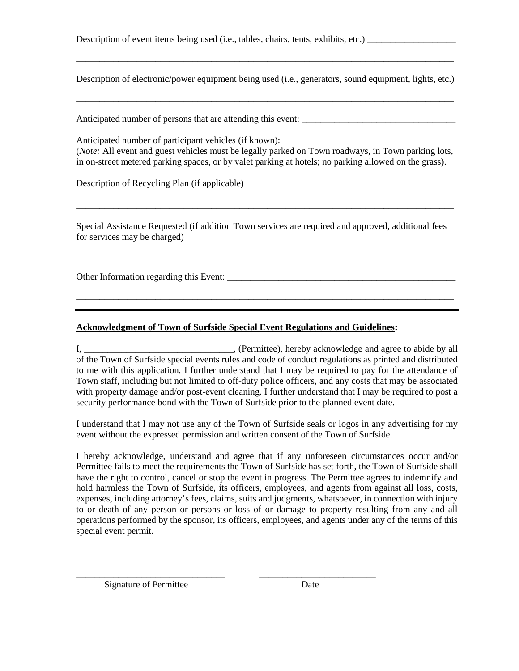Description of event items being used (i.e., tables, chairs, tents, exhibits, etc.)

Description of electronic/power equipment being used (i.e., generators, sound equipment, lights, etc.)

\_\_\_\_\_\_\_\_\_\_\_\_\_\_\_\_\_\_\_\_\_\_\_\_\_\_\_\_\_\_\_\_\_\_\_\_\_\_\_\_\_\_\_\_\_\_\_\_\_\_\_\_\_\_\_\_\_\_\_\_\_\_\_\_\_\_\_\_\_\_\_\_\_\_\_\_\_\_\_\_\_

\_\_\_\_\_\_\_\_\_\_\_\_\_\_\_\_\_\_\_\_\_\_\_\_\_\_\_\_\_\_\_\_\_\_\_\_\_\_\_\_\_\_\_\_\_\_\_\_\_\_\_\_\_\_\_\_\_\_\_\_\_\_\_\_\_\_\_\_\_\_\_\_\_\_\_\_\_\_\_\_\_

Anticipated number of persons that are attending this event:

Anticipated number of participant vehicles (if known): (*Note:* All event and guest vehicles must be legally parked on Town roadways, in Town parking lots, in on-street metered parking spaces, or by valet parking at hotels; no parking allowed on the grass).

Description of Recycling Plan (if applicable)

Special Assistance Requested (if addition Town services are required and approved, additional fees for services may be charged)

\_\_\_\_\_\_\_\_\_\_\_\_\_\_\_\_\_\_\_\_\_\_\_\_\_\_\_\_\_\_\_\_\_\_\_\_\_\_\_\_\_\_\_\_\_\_\_\_\_\_\_\_\_\_\_\_\_\_\_\_\_\_\_\_\_\_\_\_\_\_\_\_\_\_\_\_\_\_\_\_\_

\_\_\_\_\_\_\_\_\_\_\_\_\_\_\_\_\_\_\_\_\_\_\_\_\_\_\_\_\_\_\_\_\_\_\_\_\_\_\_\_\_\_\_\_\_\_\_\_\_\_\_\_\_\_\_\_\_\_\_\_\_\_\_\_\_\_\_\_\_\_\_\_\_\_\_\_\_\_\_\_\_

\_\_\_\_\_\_\_\_\_\_\_\_\_\_\_\_\_\_\_\_\_\_\_\_\_\_\_\_\_\_\_\_\_\_\_\_\_\_\_\_\_\_\_\_\_\_\_\_\_\_\_\_\_\_\_\_\_\_\_\_\_\_\_\_\_\_\_\_\_\_\_\_\_\_\_\_\_\_\_\_\_

Other Information regarding this Event: \_\_\_\_\_\_\_\_\_\_\_\_\_\_\_\_\_\_\_\_\_\_\_\_\_\_\_\_\_\_\_\_\_\_\_\_\_\_\_\_\_\_\_\_\_\_\_\_\_

#### **Acknowledgment of Town of Surfside Special Event Regulations and Guidelines:**

I, \_\_\_\_\_\_\_\_\_\_\_\_\_\_\_\_\_\_\_\_\_\_\_\_\_\_\_\_\_\_\_, (Permittee), hereby acknowledge and agree to abide by all of the Town of Surfside special events rules and code of conduct regulations as printed and distributed to me with this application. I further understand that I may be required to pay for the attendance of Town staff, including but not limited to off-duty police officers, and any costs that may be associated with property damage and/or post-event cleaning. I further understand that I may be required to post a security performance bond with the Town of Surfside prior to the planned event date.

I understand that I may not use any of the Town of Surfside seals or logos in any advertising for my event without the expressed permission and written consent of the Town of Surfside.

I hereby acknowledge, understand and agree that if any unforeseen circumstances occur and/or Permittee fails to meet the requirements the Town of Surfside has set forth, the Town of Surfside shall have the right to control, cancel or stop the event in progress. The Permittee agrees to indemnify and hold harmless the Town of Surfside, its officers, employees, and agents from against all loss, costs, expenses, including attorney's fees, claims, suits and judgments, whatsoever, in connection with injury to or death of any person or persons or loss of or damage to property resulting from any and all operations performed by the sponsor, its officers, employees, and agents under any of the terms of this special event permit.

\_\_\_\_\_\_\_\_\_\_\_\_\_\_\_\_\_\_\_\_\_\_\_\_\_\_\_\_\_\_\_\_ \_\_\_\_\_\_\_\_\_\_\_\_\_\_\_\_\_\_\_\_\_\_\_\_\_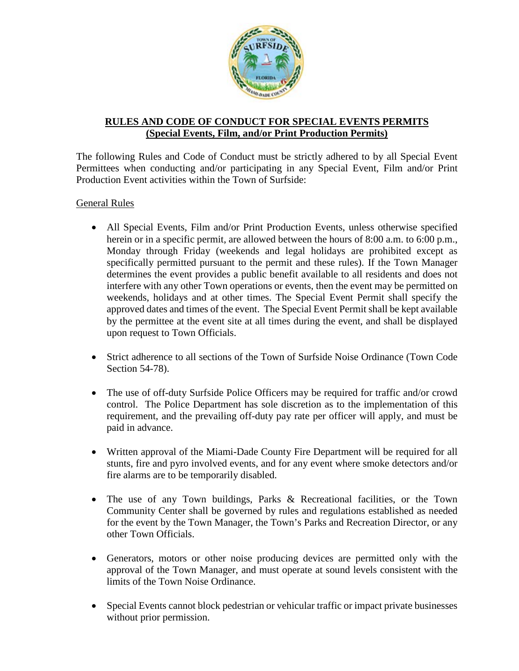

# **RULES AND CODE OF CONDUCT FOR SPECIAL EVENTS PERMITS (Special Events, Film, and/or Print Production Permits)**

The following Rules and Code of Conduct must be strictly adhered to by all Special Event Permittees when conducting and/or participating in any Special Event, Film and/or Print Production Event activities within the Town of Surfside:

# General Rules

- All Special Events, Film and/or Print Production Events, unless otherwise specified herein or in a specific permit, are allowed between the hours of 8:00 a.m. to 6:00 p.m., Monday through Friday (weekends and legal holidays are prohibited except as specifically permitted pursuant to the permit and these rules). If the Town Manager determines the event provides a public benefit available to all residents and does not interfere with any other Town operations or events, then the event may be permitted on weekends, holidays and at other times. The Special Event Permit shall specify the approved dates and times of the event. The Special Event Permit shall be kept available by the permittee at the event site at all times during the event, and shall be displayed upon request to Town Officials.
- Strict adherence to all sections of the Town of Surfside Noise Ordinance (Town Code Section 54-78).
- The use of off-duty Surfside Police Officers may be required for traffic and/or crowd control. The Police Department has sole discretion as to the implementation of this requirement, and the prevailing off-duty pay rate per officer will apply, and must be paid in advance.
- Written approval of the Miami-Dade County Fire Department will be required for all stunts, fire and pyro involved events, and for any event where smoke detectors and/or fire alarms are to be temporarily disabled.
- The use of any Town buildings, Parks & Recreational facilities, or the Town Community Center shall be governed by rules and regulations established as needed for the event by the Town Manager, the Town's Parks and Recreation Director, or any other Town Officials.
- Generators, motors or other noise producing devices are permitted only with the approval of the Town Manager, and must operate at sound levels consistent with the limits of the Town Noise Ordinance.
- Special Events cannot block pedestrian or vehicular traffic or impact private businesses without prior permission.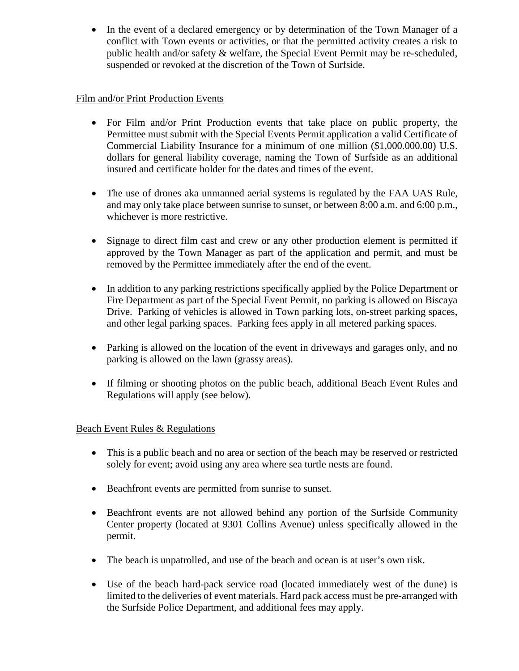• In the event of a declared emergency or by determination of the Town Manager of a conflict with Town events or activities, or that the permitted activity creates a risk to public health and/or safety & welfare, the Special Event Permit may be re-scheduled, suspended or revoked at the discretion of the Town of Surfside.

# Film and/or Print Production Events

- For Film and/or Print Production events that take place on public property, the Permittee must submit with the Special Events Permit application a valid Certificate of Commercial Liability Insurance for a minimum of one million (\$1,000.000.00) U.S. dollars for general liability coverage, naming the Town of Surfside as an additional insured and certificate holder for the dates and times of the event.
- The use of drones aka unmanned aerial systems is regulated by the FAA UAS Rule, and may only take place between sunrise to sunset, or between 8:00 a.m. and 6:00 p.m., whichever is more restrictive.
- Signage to direct film cast and crew or any other production element is permitted if approved by the Town Manager as part of the application and permit, and must be removed by the Permittee immediately after the end of the event.
- In addition to any parking restrictions specifically applied by the Police Department or Fire Department as part of the Special Event Permit, no parking is allowed on Biscaya Drive. Parking of vehicles is allowed in Town parking lots, on-street parking spaces, and other legal parking spaces. Parking fees apply in all metered parking spaces.
- Parking is allowed on the location of the event in driveways and garages only, and no parking is allowed on the lawn (grassy areas).
- If filming or shooting photos on the public beach, additional Beach Event Rules and Regulations will apply (see below).

# Beach Event Rules & Regulations

- This is a public beach and no area or section of the beach may be reserved or restricted solely for event; avoid using any area where sea turtle nests are found.
- Beachfront events are permitted from sunrise to sunset.
- Beachfront events are not allowed behind any portion of the Surfside Community Center property (located at 9301 Collins Avenue) unless specifically allowed in the permit.
- The beach is unpatrolled, and use of the beach and ocean is at user's own risk.
- Use of the beach hard-pack service road (located immediately west of the dune) is limited to the deliveries of event materials. Hard pack access must be pre-arranged with the Surfside Police Department, and additional fees may apply.